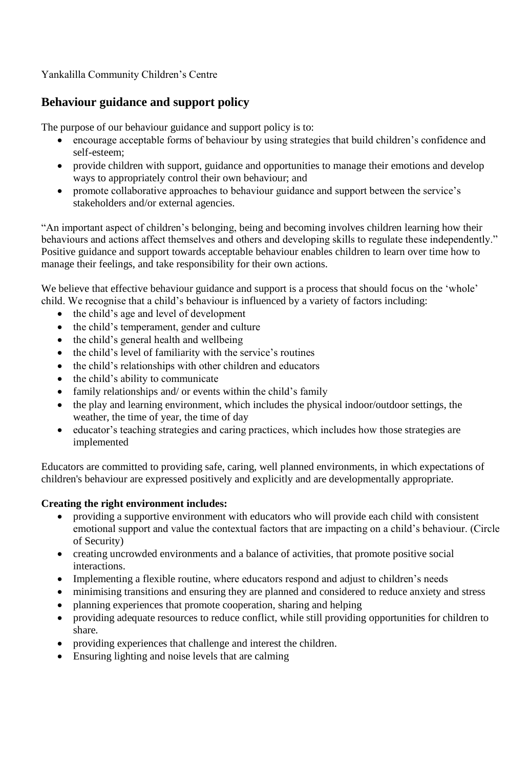# Yankalilla Community Children's Centre

# **Behaviour guidance and support policy**

The purpose of our behaviour guidance and support policy is to:

- encourage acceptable forms of behaviour by using strategies that build children's confidence and self-esteem;
- provide children with support, guidance and opportunities to manage their emotions and develop ways to appropriately control their own behaviour; and
- promote collaborative approaches to behaviour guidance and support between the service's stakeholders and/or external agencies.

"An important aspect of children's belonging, being and becoming involves children learning how their behaviours and actions affect themselves and others and developing skills to regulate these independently." Positive guidance and support towards acceptable behaviour enables children to learn over time how to manage their feelings, and take responsibility for their own actions.

We believe that effective behaviour guidance and support is a process that should focus on the 'whole' child. We recognise that a child's behaviour is influenced by a variety of factors including:

- the child's age and level of development
- the child's temperament, gender and culture
- the child's general health and wellbeing
- the child's level of familiarity with the service's routines
- the child's relationships with other children and educators
- the child's ability to communicate
- family relationships and/ or events within the child's family
- the play and learning environment, which includes the physical indoor/outdoor settings, the weather, the time of year, the time of day
- educator's teaching strategies and caring practices, which includes how those strategies are implemented

Educators are committed to providing safe, caring, well planned environments, in which expectations of children's behaviour are expressed positively and explicitly and are developmentally appropriate.

#### **Creating the right environment includes:**

- providing a supportive environment with educators who will provide each child with consistent emotional support and value the contextual factors that are impacting on a child's behaviour. (Circle of Security)
- creating uncrowded environments and a balance of activities, that promote positive social interactions.
- Implementing a flexible routine, where educators respond and adjust to children's needs
- minimising transitions and ensuring they are planned and considered to reduce anxiety and stress
- planning experiences that promote cooperation, sharing and helping
- providing adequate resources to reduce conflict, while still providing opportunities for children to share.
- providing experiences that challenge and interest the children.
- Ensuring lighting and noise levels that are calming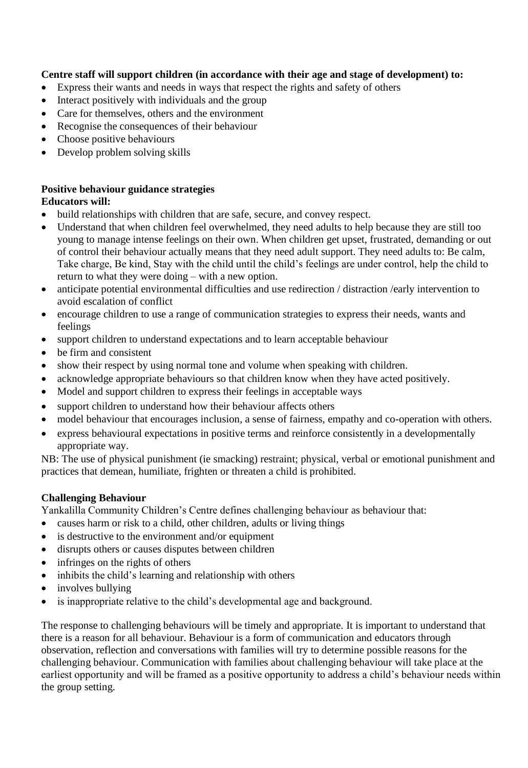## **Centre staff will support children (in accordance with their age and stage of development) to:**

- Express their wants and needs in ways that respect the rights and safety of others
- Interact positively with individuals and the group
- Care for themselves, others and the environment
- Recognise the consequences of their behaviour
- Choose positive behaviours
- Develop problem solving skills

#### **Positive behaviour guidance strategies Educators will:**

- build relationships with children that are safe, secure, and convey respect.
- Understand that when children feel overwhelmed, they need adults to help because they are still too young to manage intense feelings on their own. When children get upset, frustrated, demanding or out of control their behaviour actually means that they need adult support. They need adults to: Be calm, Take charge, Be kind, Stay with the child until the child's feelings are under control, help the child to return to what they were doing – with a new option.
- anticipate potential environmental difficulties and use redirection / distraction /early intervention to avoid escalation of conflict
- encourage children to use a range of communication strategies to express their needs, wants and feelings
- support children to understand expectations and to learn acceptable behaviour
- be firm and consistent
- show their respect by using normal tone and volume when speaking with children.
- acknowledge appropriate behaviours so that children know when they have acted positively.
- Model and support children to express their feelings in acceptable ways
- support children to understand how their behaviour affects others
- model behaviour that encourages inclusion, a sense of fairness, empathy and co-operation with others.
- express behavioural expectations in positive terms and reinforce consistently in a developmentally appropriate way.

NB: The use of physical punishment (ie smacking) restraint; physical, verbal or emotional punishment and practices that demean, humiliate, frighten or threaten a child is prohibited.

#### **Challenging Behaviour**

Yankalilla Community Children's Centre defines challenging behaviour as behaviour that:

- causes harm or risk to a child, other children, adults or living things
- is destructive to the environment and/or equipment
- disrupts others or causes disputes between children
- infringes on the rights of others
- inhibits the child's learning and relationship with others
- involves bullying
- is inappropriate relative to the child's developmental age and background.

The response to challenging behaviours will be timely and appropriate. It is important to understand that there is a reason for all behaviour. Behaviour is a form of communication and educators through observation, reflection and conversations with families will try to determine possible reasons for the challenging behaviour. Communication with families about challenging behaviour will take place at the earliest opportunity and will be framed as a positive opportunity to address a child's behaviour needs within the group setting.